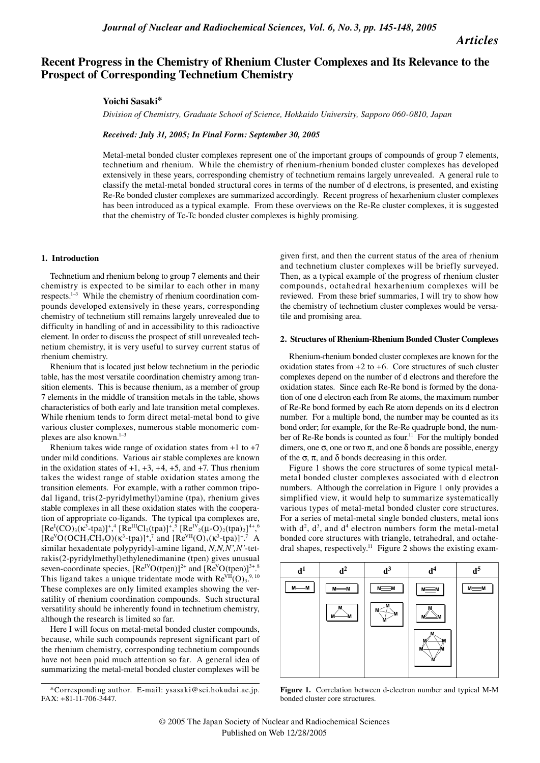*Articles*

# **Recent Progress in the Chemistry of Rhenium Cluster Complexes and Its Relevance to the Prospect of Corresponding Technetium Chemistry**

## **Yoichi Sasaki\***

*Division of Chemistry, Graduate School of Science, Hokkaido University, Sapporo 060-0810, Japan*

*Received: July 31, 2005; In Final Form: September 30, 2005*

Metal-metal bonded cluster complexes represent one of the important groups of compounds of group 7 elements, technetium and rhenium. While the chemistry of rhenium-rhenium bonded cluster complexes has developed extensively in these years, corresponding chemistry of technetium remains largely unrevealed. A general rule to classify the metal-metal bonded structural cores in terms of the number of d electrons, is presented, and existing Re-Re bonded cluster complexes are summarized accordingly. Recent progress of hexarhenium cluster complexes has been introduced as a typical example. From these overviews on the Re-Re cluster complexes, it is suggested that the chemistry of Tc-Tc bonded cluster complexes is highly promising.

#### **1. Introduction**

Technetium and rhenium belong to group 7 elements and their chemistry is expected to be similar to each other in many respects.<sup>1-3</sup> While the chemistry of rhenium coordination compounds developed extensively in these years, corresponding chemistry of technetium still remains largely unrevealed due to difficulty in handling of and in accessibility to this radioactive element. In order to discuss the prospect of still unrevealed technetium chemistry, it is very useful to survey current status of rhenium chemistry.

Rhenium that is located just below technetium in the periodic table, has the most versatile coordination chemistry among transition elements. This is because rhenium, as a member of group 7 elements in the middle of transition metals in the table, shows characteristics of both early and late transition metal complexes. While rhenium tends to form direct metal-metal bond to give various cluster complexes, numerous stable monomeric complexes are also known.<sup>1−3</sup>

Rhenium takes wide range of oxidation states from  $+1$  to  $+7$ under mild conditions. Various air stable complexes are known in the oxidation states of  $+1$ ,  $+3$ ,  $+4$ ,  $+5$ , and  $+7$ . Thus rhenium takes the widest range of stable oxidation states among the transition elements. For example, with a rather common tripodal ligand, tris(2-pyridylmethyl)amine (tpa), rhenium gives stable complexes in all these oxidation states with the cooperation of appropriate co-ligands. The typical tpa complexes are,  $[Re^{I}(CO)_{3}(\kappa^{3}-tpa)]^{+}$ ,  $[Re^{III}Cl_{2}(tpa)]^{+}$ ,  $[Re^{IV}{}_{2}(\mu-O)_{2}(tpa)_{2}]^{4+}$ ,  $[Re^{IV}{}_{3}(\mu-O)_{2}(tpa)_{2}]^{+}$  $[Re<sup>V</sup>O(OCH<sub>2</sub>CH<sub>2</sub>O)(\kappa<sup>3</sup>-tpa)]<sup>+</sup>,<sup>7</sup>$  and  $[Re<sup>VII</sup>(O)<sub>3</sub>(\kappa<sup>3</sup>-tpa)]<sup>+</sup>.<sup>7</sup>$  A similar hexadentate polypyridyl-amine ligand, *N,N,N',N'*-tetrakis(2-pyridylmethyl)ethylenedimanine (tpen) gives unusual seven-coordinate species,  $[Re^{IV}O(tpen)]^{2+}$  and  $[Re^{V}O(tpen)]^{3+8}$ This ligand takes a unique tridentate mode with  $\text{Re}^{\text{VII}}(\text{O})_{3}^{9,10}$ These complexes are only limited examples showing the versatility of rhenium coordination compounds. Such structural versatility should be inherently found in technetium chemistry, although the research is limited so far.

Here I will focus on metal-metal bonded cluster compounds, because, while such compounds represent significant part of the rhenium chemistry, corresponding technetium compounds have not been paid much attention so far. A general idea of summarizing the metal-metal bonded cluster complexes will be

given first, and then the current status of the area of rhenium and technetium cluster complexes will be briefly surveyed. Then, as a typical example of the progress of rhenium cluster compounds, octahedral hexarhenium complexes will be reviewed. From these brief summaries, I will try to show how the chemistry of technetium cluster complexes would be versatile and promising area.

#### **2. Structures of Rhenium-Rhenium Bonded Cluster Complexes**

Rhenium-rhenium bonded cluster complexes are known for the oxidation states from  $+2$  to  $+6$ . Core structures of such cluster complexes depend on the number of d electrons and therefore the oxidation states. Since each Re-Re bond is formed by the donation of one d electron each from Re atoms, the maximum number of Re-Re bond formed by each Re atom depends on its d electron number. For a multiple bond, the number may be counted as its bond order; for example, for the Re-Re quadruple bond, the number of Re-Re bonds is counted as four.<sup>11</sup> For the multiply bonded dimers, one  $\sigma$ , one or two  $\pi$ , and one  $\delta$  bonds are possible, energy of the σ, π, and δ bonds decreasing in this order.

Figure 1 shows the core structures of some typical metalmetal bonded cluster complexes associated with d electron numbers. Although the correlation in Figure 1 only provides a simplified view, it would help to summarize systematically various types of metal-metal bonded cluster core structures. For a series of metal-metal single bonded clusters, metal ions with  $d^2$ ,  $d^3$ , and  $d^4$  electron numbers form the metal-metal bonded core structures with triangle, tetrahedral, and octahedral shapes, respectively.<sup>11</sup> Figure 2 shows the existing exam-



**Figure 1.** Correlation between d-electron number and typical M-M bonded cluster core structures.

<sup>\*</sup>Corresponding author. E-mail: ysasaki@sci.hokudai.ac.jp. FAX: +81-11-706-3447.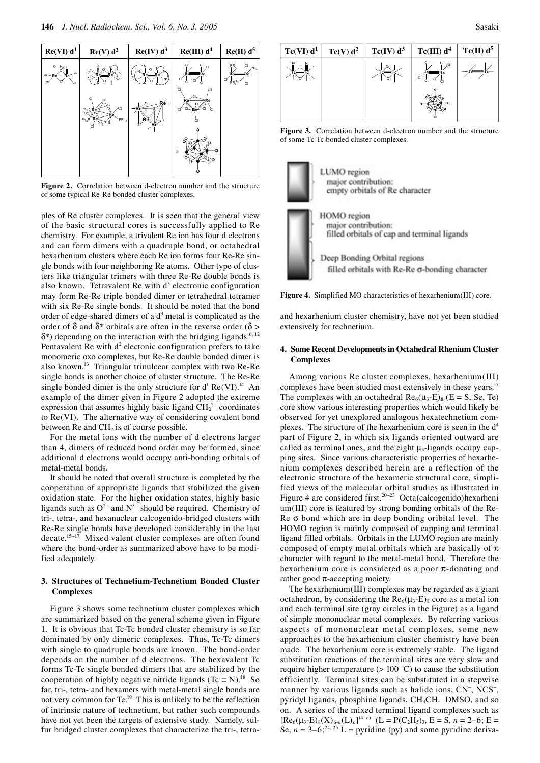

**Figure 2.** Correlation between d-electron number and the structure of some typical Re-Re bonded cluster complexes.

ples of Re cluster complexes. It is seen that the general view of the basic structural cores is successfully applied to Re chemistry. For example, a trivalent Re ion has four d electrons and can form dimers with a quadruple bond, or octahedral hexarhenium clusters where each Re ion forms four Re-Re single bonds with four neighboring Re atoms. Other type of clusters like triangular trimers with three Re-Re double bonds is also known. Tetravalent Re with  $d<sup>3</sup>$  electronic configuration may form Re-Re triple bonded dimer or tetrahedral tetramer with six Re-Re single bonds. It should be noted that the bond order of edge-shared dimers of a  $d<sup>3</sup>$  metal is complicated as the order of  $\delta$  and  $\delta^*$  orbitals are often in the reverse order ( $\delta$  >  $\delta^*$ ) depending on the interaction with the bridging ligands.<sup>6, 12</sup> Pentavalent Re with  $d^2$  electonic configuration prefers to take monomeric oxo complexes, but Re-Re double bonded dimer is also known.13 Triangular trinulcear complex with two Re-Re single bonds is another choice of cluster structure. The Re-Re single bonded dimer is the only structure for  $d^1$  Re(VI).<sup>14</sup> An example of the dimer given in Figure 2 adopted the extreme expression that assumes highly basic ligand  $\text{CH}_2^{2-}$  coordinates to Re(VI). The alternative way of considering covalent bond between  $\text{Re}$  and  $\text{CH}_2$  is of course possible.

For the metal ions with the number of d electrons larger than 4, dimers of reduced bond order may be formed, since additional d electrons would occupy anti-bonding orbitals of metal-metal bonds.

It should be noted that overall structure is completed by the cooperation of appropriate ligands that stabilized the given oxidation state. For the higher oxidation states, highly basic ligands such as  $O^{2-}$  and  $N^{3-}$  should be required. Chemistry of tri-, tetra-, and hexanuclear calcogenido-bridged clusters with Re-Re single bonds have developed considerably in the last decate.15−17 Mixed valent cluster complexes are often found where the bond-order as summarized above have to be modified adequately.

## **3. Structures of Technetium-Technetium Bonded Cluster Complexes**

Figure 3 shows some technetium cluster complexes which are summarized based on the general scheme given in Figure 1. It is obvious that Tc-Tc bonded cluster chemistry is so far dominated by only dimeric complexes. Thus, Tc-Tc dimers with single to quadruple bonds are known. The bond-order depends on the number of d electrons. The hexavalent Tc forms Tc-Tc single bonded dimers that are stabilized by the cooperation of highly negative nitride ligands (Tc  $\equiv$  N).<sup>18</sup> So far, tri-, tetra- and hexamers with metal-metal single bonds are not very common for Tc.19 This is unlikely to be the reflection of intrinsic nature of technetium, but rather such compounds have not yet been the targets of extensive study. Namely, sulfur bridged cluster complexes that characterize the tri-, tetra-



**Figure 3.** Correlation between d-electron number and the structure of some Tc-Tc bonded cluster complexes.



**Figure 4.** Simplified MO characteristics of hexarhenium(III) core.

and hexarhenium cluster chemistry, have not yet been studied extensively for technetium.

## **4. Some Recent Developments in Octahedral Rhenium Cluster Complexes**

Among various Re cluster complexes, hexarhenium(III) complexes have been studied most extensively in these years.<sup>17</sup> The complexes with an octahedral  $\text{Re}_6(\mu_3-E)_8$  (E = S, Se, Te) core show various interesting properties which would likely be observed for yet unexplored analogous hexatechnetium complexes. The structure of the hexarhenium core is seen in the  $d<sup>4</sup>$ part of Figure 2, in which six ligands oriented outward are called as terminal ones, and the eight  $\mu_3$ -ligands occupy capping sites. Since various characteristic properties of hexarhenium complexes described herein are a reflection of the electronic structure of the hexameric structural core, simplified views of the molecular orbital studies as illustrated in Figure 4 are considered first.20−23 Octa(calcogenido)hexarheni um(III) core is featured by strong bonding orbitals of the Re-Re  $\sigma$  bond which are in deep bonding oribital level. The HOMO region is mainly composed of capping and terminal ligand filled orbitals. Orbitals in the LUMO region are mainly composed of empty metal orbitals which are basically of  $\pi$ character with regard to the metal-metal bond. Therefore the hexarhenium core is considered as a poor  $\pi$ -donating and rather good  $\pi$ -accepting moiety.

The hexarhenium(III) complexes may be regarded as a giant octahedron, by considering the  $\text{Re}_6(\mu_3-E)_8$  core as a metal ion and each terminal site (gray circles in the Figure) as a ligand of simple mononuclear metal complexes. By referring various aspects of mononuclear metal complexes, some new approaches to the hexarhenium cluster chemistry have been made. The hexarhenium core is extremely stable. The ligand substitution reactions of the terminal sites are very slow and require higher temperature (> 100 ˚C) to cause the substitution efficiently. Terminal sites can be substituted in a stepwise manner by various ligands such as halide ions, CN<sup>-</sup>, NCS<sup>-</sup>, pyridyl ligands, phosphine ligands, CH<sub>3</sub>CH. DMSO, and so on. A series of the mixed terminal ligand complexes such as  $[Re_6(\mu_3-E)_8(X)_{6-n}(L)_n]^{(4-n)-}(L=P(C_2H_5)_3, E=S, n=2-6; E=$ Se,  $n = 3-6$ ;<sup>24, 25</sup> L = pyridine (py) and some pyridine deriva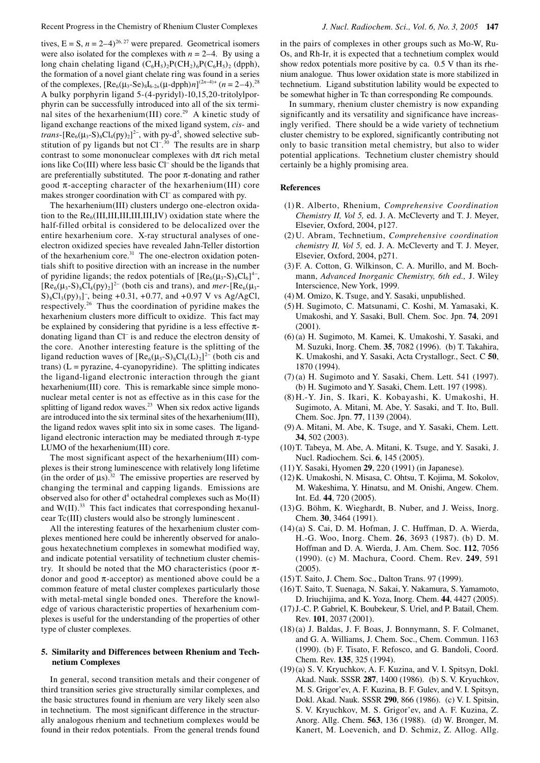tives,  $E = S$ ,  $n = 2-4$ <sup>26, 27</sup> were prepared. Geometrical isomers were also isolated for the complexes with  $n = 2-4$ . By using a long chain chelating ligand  $(C_6H_5)_2P(CH_2)_6P(C_6H_5)_2$  (dpph), the formation of a novel giant chelate ring was found in a series of the complexes,  $[Re_6(\mu_3-Se)_8I_{6-2n}(\mu\text{-dpph})n]^{(2n-4)+}$   $(n=2-4).^{28}$ A bulky porphyrin ligand 5-(4-pyridyl)-10,15,20-tritolylporphyrin can be successfully introduced into all of the six terminal sites of the hexarhenium(III) core.<sup>29</sup> A kinetic study of ligand exchange reactions of the mixed ligand system, *cis*- and *trans*-[ $\text{Re}_6(\mu_3\text{-}S)_8\text{Cl}_4\text{(py)}_2$ ]<sup>2-</sup>, with py-d<sup>5</sup>, showed selective substitution of py ligands but not  $Cl^{-,30}$  The results are in sharp contrast to some mononuclear complexes with  $d\pi$  rich metal ions like Co(III) where less basic Cl<sup>−</sup> should be the ligands that are preferentially substituted. The poor  $\pi$ -donating and rather good  $\pi$ -accepting character of the hexarhenium(III) core makes stronger coordination with Cl<sup>−</sup> as compared with py.

The hexarhenium(III) clusters undergo one-electron oxidation to the  $\text{Re}_{6}$ (III,III,III,III,III,IV) oxidation state where the half-filled orbital is considered to be delocalized over the entire hexarhenium core. X-ray structural analyses of oneelectron oxidized species have revealed Jahn-Teller distortion of the hexarhenium core. $31$  The one-electron oxidation potentials shift to positive direction with an increase in the number of pyridine ligands; the redox potentials of  $[Re_6(\mu_3-S)_8Cl_6]^{4-}$ ,  $[Re_6(\mu_3-S)_8Cl_4(py)_2]^2$ <sup>-</sup> (both cis and trans), and *mer*- $[Re_6(\mu_3-S)_8Cl_4(py)_2]^2$  $S$ <sub>8</sub>Cl<sub>3</sub>(py)<sub>3</sub>]<sup>-</sup>, being +0.31, +0.77, and +0.97 V vs Ag/AgCl, respectively.26 Thus the coordination of pyridine makes the hexarhenium clusters more difficult to oxidize. This fact may be explained by considering that pyridine is a less effective  $\pi$ donating ligand than Cl<sup>−</sup> is and reduce the electron density of the core. Another interesting feature is the splitting of the ligand reduction waves of  $[Re_6(\mu_3-S)_8Cl_4(L)_2]^{2-}$  (both cis and  $trans)$  ( $L = pyrazine$ , 4-cyanopyridine). The splitting indicates the ligand-ligand electronic interaction through the giant hexarhenium(III) core. This is remarkable since simple mononuclear metal center is not as effective as in this case for the splitting of ligand redox waves.<sup>23</sup> When six redox active ligands are introduced into the six terminal sites of the hexarhenium(III), the ligand redox waves split into six in some cases. The ligandligand electronic interaction may be mediated through  $\pi$ -type LUMO of the hexarhenium(III) core.

The most significant aspect of the hexarhenium(III) complexes is their strong luminescence with relatively long lifetime (in the order of  $\mu s$ ).<sup>32</sup> The emissive properties are reserved by changing the terminal and capping ligands. Emissions are observed also for other  $d^4$  octahedral complexes such as  $Mo(II)$ and  $W(II)$ .<sup>33</sup> This fact indicates that corresponding hexanulcear Tc(III) clusters would also be strongly luminescent .

All the interesting features of the hexarhenium cluster complexes mentioned here could be inherently observed for analogous hexatechnetium complexes in somewhat modified way, and indicate potential versatility of technetium cluster chemistry. It should be noted that the MO characteristics (poor  $\pi$ donor and good  $π$ -acceptor) as mentioned above could be a common feature of metal cluster complexes particularly those with metal-metal single bonded ones. Therefore the knowledge of various characteristic properties of hexarhenium complexes is useful for the understanding of the properties of other type of cluster complexes.

#### **5. Similarity and Differences between Rhenium and Technetium Complexes**

In general, second transition metals and their congener of third transition series give structurally similar complexes, and the basic structures found in rhenium are very likely seen also in technetium. The most significant difference in the structurally analogous rhenium and technetium complexes would be found in their redox potentials. From the general trends found

in the pairs of complexes in other groups such as Mo-W, Ru-Os, and Rh-Ir, it is expected that a technetium complex would show redox potentials more positive by ca. 0.5 V than its rhenium analogue. Thus lower oxidation state is more stabilized in technetium. Ligand substitution lability would be expected to be somewhat higher in Tc than corresponding Re compounds.

In summary, rhenium cluster chemistry is now expanding significantly and its versatility and significance have increasingly verified. There should be a wide variety of technetium cluster chemistry to be explored, significantly contributing not only to basic transition metal chemistry, but also to wider potential applications. Technetium cluster chemistry should certainly be a highly promising area.

#### **References**

- (1) R. Alberto, Rhenium, *Comprehensive Coordination Chemistry II, Vol 5, ed. J. A. McCleverty and T. J. Meyer,* Elsevier, Oxford, 2004, p127.
- (2) U. Abram, Technetium, *Comprehensive coordination chemistry II, Vol 5,* ed. J. A. McCleverty and T. J. Meyer, Elsevier, Oxford, 2004, p271.
- (3) F. A. Cotton, G. Wilkinson, C. A. Murillo, and M. Bochmann, *Advanced Inorganic Chemistry, 6th ed.,* J. Wiley Interscience, New York, 1999.
- (4) M. Omizo, K. Tsuge, and Y. Sasaki, unpublished.
- (5) H. Sugimoto, C. Matsunami, C. Koshi, M. Yamasaki, K. Umakoshi, and Y. Sasaki, Bull. Chem. Soc. Jpn. **74**, 2091 (2001).
- (6) (a) H. Sugimoto, M. Kamei, K. Umakoshi, Y. Sasaki, and M. Suzuki, Inorg. Chem. **35**, 7082 (1996). (b) T. Takahira, K. Umakoshi, and Y. Sasaki, Acta Crystallogr., Sect. C **50**, 1870 (1994).
- (7) (a) H. Sugimoto and Y. Sasaki, Chem. Lett. 541 (1997). (b) H. Sugimoto and Y. Sasaki, Chem. Lett. 197 (1998).
- (8) H.-Y. Jin, S. Ikari, K. Kobayashi, K. Umakoshi, H. Sugimoto, A. Mitani, M. Abe, Y. Sasaki, and T. Ito, Bull. Chem. Soc. Jpn. **77**, 1139 (2004).
- (9) A. Mitani, M. Abe, K. Tsuge, and Y. Sasaki, Chem. Lett. **34**, 502 (2003).
- (10) T. Tabeya, M. Abe, A. Mitani, K. Tsuge, and Y. Sasaki, J. Nucl. Radiochem. Sci. **6**, 145 (2005).
- (11) Y. Sasaki, Hyomen **29**, 220 (1991) (in Japanese).
- (12) K. Umakoshi, N. Misasa, C. Ohtsu, T. Kojima, M. Sokolov, M. Wakeshima, Y. Hinatsu, and M. Onishi, Angew. Chem. Int. Ed. **44**, 720 (2005).
- (13) G. Böhm, K. Wieghardt, B. Nuber, and J. Weiss, Inorg. Chem. **30**, 3464 (1991).
- (14) (a) S. Cai, D. M. Hofman, J. C. Huffman, D. A. Wierda, H.-G. Woo, Inorg. Chem. **26**, 3693 (1987). (b) D. M. Hoffman and D. A. Wierda, J. Am. Chem. Soc. **112**, 7056 (1990). (c) M. Machura, Coord. Chem. Rev. **249**, 591 (2005).
- (15) T. Saito, J. Chem. Soc., Dalton Trans. 97 (1999).
- (16) T. Saito, T. Suenaga, N. Sakai, Y. Nakamura, S. Yamamoto, D. Iriuchijima, and K. Yoza, Inorg. Chem. **44**, 4427 (2005).
- (17) J.-C. P. Gabriel, K. Boubekeur, S. Uriel, and P. Batail, Chem. Rev. **101**, 2037 (2001).
- (18) (a) J. Baldas, J. F. Boas, J. Bonnymann, S. F. Colmanet, and G. A. Williams, J. Chem. Soc., Chem. Commun. 1163 (1990). (b) F. Tisato, F. Refosco, and G. Bandoli, Coord. Chem. Rev. **135**, 325 (1994).
- (19) (a) S. V. Kryuchkov, A. F. Kuzina, and V. I. Spitsyn, Dokl. Akad. Nauk. SSSR **287**, 1400 (1986). (b) S. V. Kryuchkov, M. S. Grigor'ev, A. F. Kuzina, B. F. Gulev, and V. I. Spitsyn, Dokl. Akad. Nauk. SSSR **290**, 866 (1986). (c) V. I. Spitsin, S. V. Kryuchkov, M. S. Grigor'ev, and A. F. Kuzina, Z. Anorg. Allg. Chem. **563**, 136 (1988). (d) W. Bronger, M. Kanert, M. Loevenich, and D. Schmiz, Z. Allog. Allg.